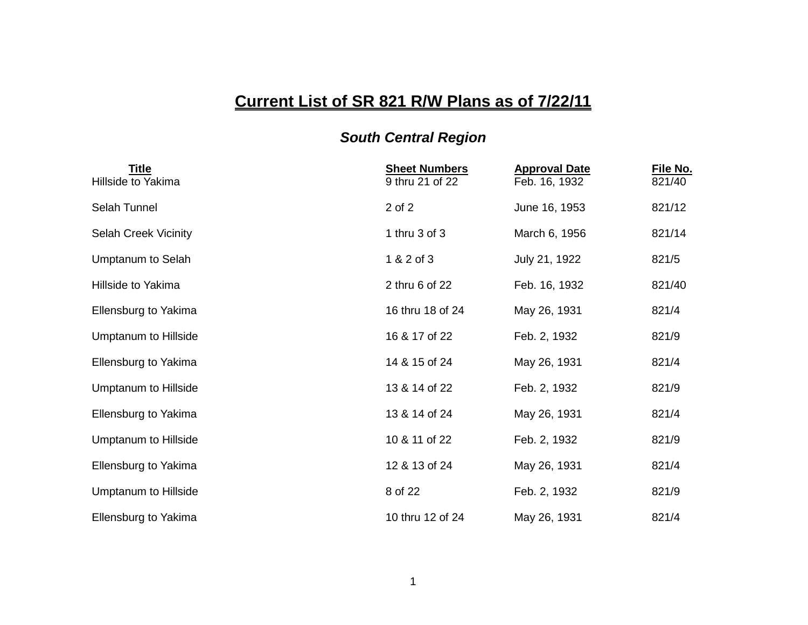## **Current List of SR 821 R/W Plans as of 7/22/11**

## *South Central Region*

| <b>Title</b><br>Hillside to Yakima | <b>Sheet Numbers</b><br>9 thru 21 of 22 | <b>Approval Date</b><br>Feb. 16, 1932 | File No.<br>821/40 |
|------------------------------------|-----------------------------------------|---------------------------------------|--------------------|
| Selah Tunnel                       | 2 of 2                                  | June 16, 1953                         | 821/12             |
| <b>Selah Creek Vicinity</b>        | 1 thru 3 of 3                           | March 6, 1956                         | 821/14             |
| Umptanum to Selah                  | 1 & 2 of 3                              | July 21, 1922                         | 821/5              |
| Hillside to Yakima                 | 2 thru 6 of 22                          | Feb. 16, 1932                         | 821/40             |
| Ellensburg to Yakima               | 16 thru 18 of 24                        | May 26, 1931                          | 821/4              |
| Umptanum to Hillside               | 16 & 17 of 22                           | Feb. 2, 1932                          | 821/9              |
| Ellensburg to Yakima               | 14 & 15 of 24                           | May 26, 1931                          | 821/4              |
| Umptanum to Hillside               | 13 & 14 of 22                           | Feb. 2, 1932                          | 821/9              |
| Ellensburg to Yakima               | 13 & 14 of 24                           | May 26, 1931                          | 821/4              |
| Umptanum to Hillside               | 10 & 11 of 22                           | Feb. 2, 1932                          | 821/9              |
| Ellensburg to Yakima               | 12 & 13 of 24                           | May 26, 1931                          | 821/4              |
| <b>Umptanum to Hillside</b>        | 8 of 22                                 | Feb. 2, 1932                          | 821/9              |
| Ellensburg to Yakima               | 10 thru 12 of 24                        | May 26, 1931                          | 821/4              |